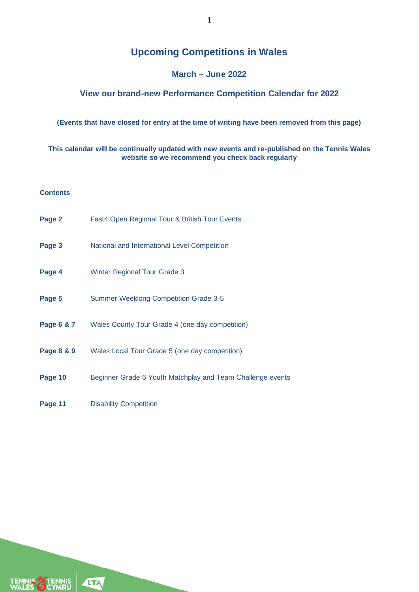# **Upcoming Competitions in Wales**

### **March – June 2022**

### **View our brand-new Performance Competition Calendar for 2022**

#### **(Events that have closed for entry at the time of writing have been removed from this page)**

#### **This calendar will be continually updated with new events and re-published on the Tennis Wales website so we recommend you check back regularly**

#### **Contents**

| Page 2     | Fast4 Open Regional Tour & British Tour Events             |
|------------|------------------------------------------------------------|
| Page 3     | National and International Level Competition               |
| Page 4     | <b>Winter Regional Tour Grade 3</b>                        |
| Page 5     | <b>Summer Weeklong Competition Grade 3-5</b>               |
| Page 6 & 7 | Wales County Tour Grade 4 (one day competition)            |
| Page 8 & 9 | Wales Local Tour Grade 5 (one day competition)             |
| Page 10    | Beginner Grade 6 Youth Matchplay and Team Challenge events |
| Page 11    | <b>Disability Competition</b>                              |

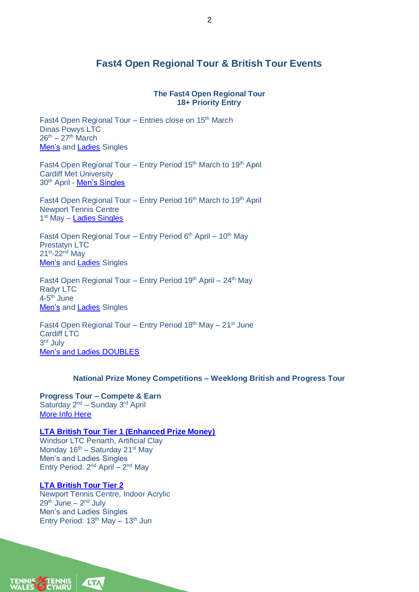# **Fast4 Open Regional Tour & British Tour Events**

#### **The Fast4 Open Regional Tour 18+ Priority Entry**

Fast4 Open Regional Tour - Entries close on 15<sup>th</sup> March Dinas Powys LTC  $26^{th} - 27^{th}$  March [Men's](https://competitions.lta.org.uk/tournament/c4b39cd2-9476-4578-be04-417f3483caf8) and [Ladies](https://competitions.lta.org.uk/tournament/73d88d2b-6f2a-4e32-9b0a-2782b2f67455) Singles

Fast4 Open Regional Tour - Entry Period 15<sup>th</sup> March to 19<sup>th</sup> April Cardiff Met University 30th April - [Men's Singles](https://competitions.lta.org.uk/tournament/7422b81e-5bbb-4746-bc9f-7b804876345d)

Fast4 Open Regional Tour – Entry Period 16<sup>th</sup> March to 19<sup>th</sup> April Newport Tennis Centre 1<sup>st</sup> May - **[Ladies Singles](https://competitions.lta.org.uk/tournament/7ddf5712-98a6-4716-8e51-05af004fa68b)** 

Fast4 Open Regional Tour – Entry Period  $6<sup>th</sup>$  April – 10<sup>th</sup> May Prestatyn LTC 21<sup>st</sup>-22<sup>nd</sup> May **[Men's](https://competitions.lta.org.uk/tournament/84559e3d-c70d-476c-8ce1-69929ff64afd) and [Ladies](https://competitions.lta.org.uk/tournament/84b9994e-c88d-431a-b635-3ca30f7c3649) Singles** 

Fast4 Open Regional Tour – Entry Period  $19<sup>th</sup>$  April –  $24<sup>th</sup>$  May Radyr LTC 4-5<sup>th</sup> June [Men's](https://competitions.lta.org.uk/tournament/e10f39f4-5bb0-4cd7-b030-128d29773909) and [Ladies](https://competitions.lta.org.uk/tournament/f5c3312a-8c6f-4868-abb9-0f415ad0393b) Singles

Fast4 Open Regional Tour – Entry Period  $18<sup>th</sup>$  May –  $21<sup>st</sup>$  June Cardiff LTC 3 rd July [Men's and Ladies DOUBLES](https://competitions.lta.org.uk/tournament/7140c907-96c4-486c-84dd-14baab23d7ad)

#### **National Prize Money Competitions – Weeklong British and Progress Tour**

**Progress Tour – Compete & Earn** Saturday  $2^{nd}$  – Sunday  $3^{rd}$  April [More Info Here](https://www.theprogresstour.com/compete-earn)

**[LTA British Tour Tier 1 \(Enhanced Prize Money\)](https://competitions.lta.org.uk/tournament/2718c6bc-1bc7-4af8-821a-28fbf909639e)** Windsor LTC Penarth, Artificial Clay Monday  $16<sup>th</sup>$  – Saturday 21<sup>st</sup> May

Men's and Ladies Singles Entry Period:  $2^{nd}$  April –  $2^{nd}$  May

#### **[LTA British Tour Tier 2](https://competitions.lta.org.uk/tournament/c73def91-bbe0-4f7b-8317-e764cb637ef6)**

Newport Tennis Centre, Indoor Acrylic 29<sup>th</sup> June – 2<sup>nd</sup> July Men's and Ladies Singles Entry Period:  $13<sup>th</sup>$  May -  $13<sup>th</sup>$  Jun

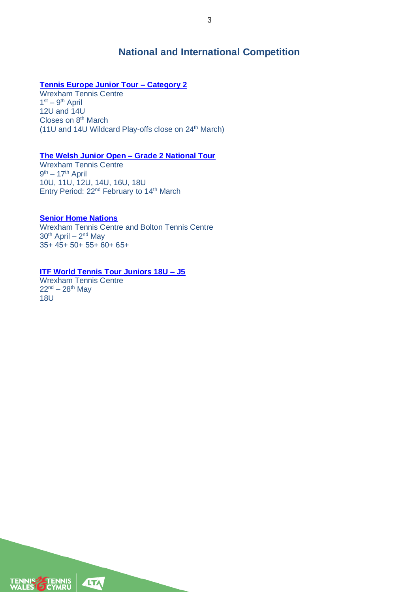## **National and International Competition**

#### **[Tennis Europe Junior Tour –](https://www.tenniseurope.org/sport/tournament?id=F17E05BB-07B3-4C0E-8576-1D3E250ED4F1) Category 2**

Wrexham Tennis Centre  $1<sup>st</sup> - 9<sup>th</sup>$  April 12U and 14U Closes on 8<sup>th</sup> March (11U and 14U Wildcard Play-offs close on 24<sup>th</sup> March)

#### **[The Welsh Junior Open –](https://competitions.lta.org.uk/tournament/d01303d3-a54b-44bc-a8f6-37d64eff299a) Grade 2 National Tour**

Wrexham Tennis Centre 9<sup>th</sup> – 17<sup>th</sup> April 10U, 11U, 12U, 14U, 16U, 18U Entry Period: 22<sup>nd</sup> February to 14<sup>th</sup> March

#### **[Senior Home Nations](https://www.lta.org.uk/about-us/in-your-area/tennis-wales/competitions/senior-competitions/)**

Wrexham Tennis Centre and Bolton Tennis Centre 30<sup>th</sup> April – 2<sup>nd</sup> May 35+ 45+ 50+ 55+ 60+ 65+

### **[ITF World Tennis Tour Juniors 18U –](https://www.itftennis.com/en/tournament/j5-wrexham/gbr/2022/j-g5-gbr-03a-2022/) J5**

Wrexham Tennis Centre  $22^{nd} - 28^{th}$  May 18U

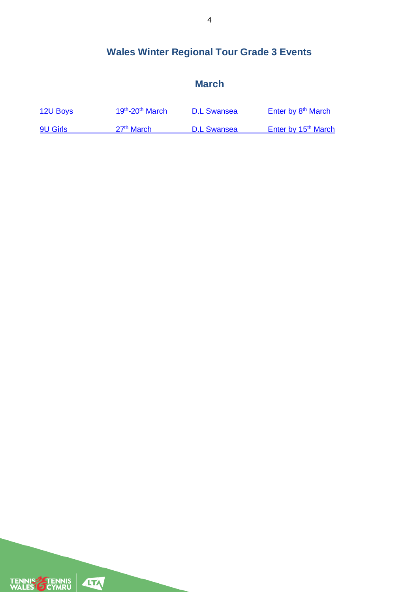# **Wales Winter Regional Tour Grade 3 Events**

# **March**

| 12U Boys        | 19 <sup>th</sup> -20 <sup>th</sup> March | D.L Swansea        | Enter by 8 <sup>th</sup> March  |
|-----------------|------------------------------------------|--------------------|---------------------------------|
|                 |                                          |                    |                                 |
| <b>9U Girls</b> | 27 <sup>th</sup> March                   | <b>D.L Swansea</b> | Enter by 15 <sup>th</sup> March |

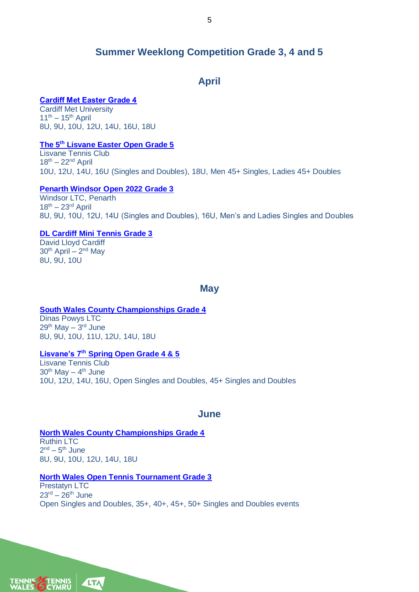## **Summer Weeklong Competition Grade 3, 4 and 5**

## **April**

#### **[Cardiff Met Easter Grade 4](https://competitions.lta.org.uk/tournament/703bef44-da7f-4863-b520-6bb30662c829)**

Cardiff Met University  $11^{th} - 15^{th}$  April 8U, 9U, 10U, 12U, 14U, 16U, 18U

#### **The 5th [Lisvane Easter Open Grade 5](https://competitions.lta.org.uk/tournament/56674043-a402-428d-b1d6-b1984dfdc202)**

Lisvane Tennis Club  $18^{th} - 22^{nd}$  April 10U, 12U, 14U, 16U (Singles and Doubles), 18U, Men 45+ Singles, Ladies 45+ Doubles

#### **[Penarth Windsor Open 2022 Grade 3](https://competitions.lta.org.uk/tournament/07a41732-f575-486b-b997-d68f45940b54)**

Windsor LTC, Penarth  $18^{th} - 23^{rd}$  April 8U, 9U, 10U, 12U, 14U (Singles and Doubles), 16U, Men's and Ladies Singles and Doubles

#### **[DL Cardiff Mini Tennis Grade 3](https://competitions.lta.org.uk/tournament/52a0561a-19d4-4bee-ab55-5916a5225489)**

David Lloyd Cardiff 30<sup>th</sup> April – 2<sup>nd</sup> May 8U, 9U, 10U

#### **May**

#### **[South Wales County Championships](https://competitions.lta.org.uk/tournament/4e346a08-28c9-412a-bb51-6c33669c6d62) Grade 4**

Dinas Powys LTC 29<sup>th</sup> May – 3<sup>rd</sup> June 8U, 9U, 10U, 11U, 12U, 14U, 18U

#### **Lisvane's 7th [Spring Open Grade 4 & 5](https://competitions.lta.org.uk/tournament/96bae9a5-8802-4d14-96bb-97d8f164cfff)**

Lisvane Tennis Club 30<sup>th</sup> May – 4<sup>th</sup> June 10U, 12U, 14U, 16U, Open Singles and Doubles, 45+ Singles and Doubles

### **June**

**[North Wales County Championships Grade 4](https://competitions.lta.org.uk/tournament/b9d16b08-7ae1-43cb-80a7-7e8f49968a65)** Ruthin LTC 2<sup>nd</sup> – 5<sup>th</sup> June 8U, 9U, 10U, 12U, 14U, 18U

#### **[North Wales Open Tennis Tournament](https://competitions.lta.org.uk/tournament/a77dc392-4f6d-44a4-b038-42c97c6c4aef) Grade 3**

Prestatyn LTC  $23<sup>rd</sup> - 26<sup>th</sup>$  June Open Singles and Doubles, 35+, 40+, 45+, 50+ Singles and Doubles events

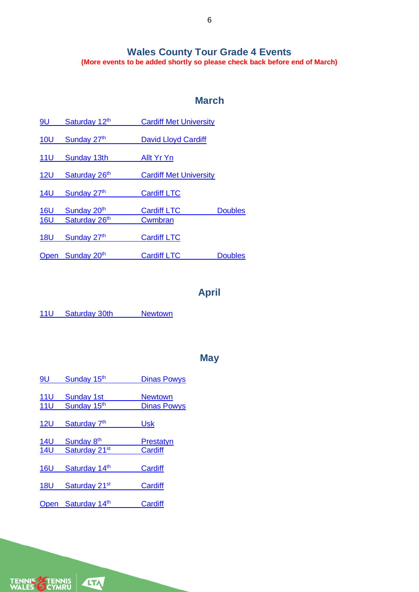### **Wales County Tour Grade 4 Events (More events to be added shortly so please check back before end of March)**

# **March**

| 9U              | Saturday 12th    | <b>Cardiff Met University</b> |                |
|-----------------|------------------|-------------------------------|----------------|
| <b>10U</b>      | Sunday 27th      | David Lloyd Cardiff           |                |
| 11 <sup>U</sup> | Sunday 13th      | Allt Yr Yn                    |                |
| 12 <sub>U</sub> | Saturday 26th    | <b>Cardiff Met University</b> |                |
| <b>14U</b>      | Sunday 27th      | <b>Cardiff LTC</b>            |                |
| 16U             | Sunday 20th      | <b>Cardiff LTC</b>            | <b>Doubles</b> |
| <b>16U</b>      | Saturday 26th    | Cwmbran                       |                |
| <b>18U</b>      | Sunday 27th      | <b>Cardiff LTC</b>            |                |
|                 | Open Sunday 20th | <b>Cardiff LTC</b>            | <b>Doubles</b> |

# **April**

11U Saturday 30th [Newtown](https://competitions.lta.org.uk/tournament/bc511222-3a1c-454d-aad7-084de8a834c9)

## **May**

| 9U              | Sunday 15th               | <b>Dinas Powys</b> |
|-----------------|---------------------------|--------------------|
| <u>11U</u>      | <b>Sunday 1st</b>         | <b>Newtown</b>     |
| <b>11U</b>      | Sunday 15th               | <b>Dinas Powys</b> |
| 12 <sub>U</sub> | Saturday 7 <sup>th</sup>  | Usk                |
| <b>14U</b>      | Sunday 8 <sup>th</sup>    | Prestatyn          |
| <b>14U</b>      | Saturday 21 <sup>st</sup> | Cardiff            |
| <b>16U</b>      | Saturday 14th             | Cardiff            |
| <b>18U</b>      | Saturday 21 <sup>st</sup> | Cardiff            |
|                 | Open Saturday 14th        | Cardiff            |

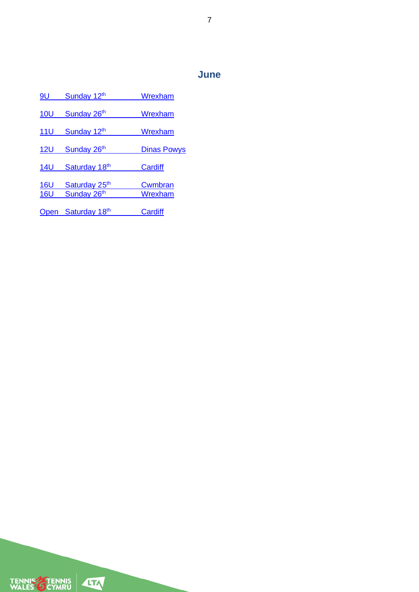# **June**

| 9U          | Sunday 12th               | Wrexham            |
|-------------|---------------------------|--------------------|
| 10U         | Sunday 26th               | Wrexham            |
| 11U         | Sunday 12th               | Wrexham            |
| <b>12U</b>  | Sunday 26th               | <b>Dinas Powys</b> |
| <b>14U</b>  | Saturday 18th             | Cardiff            |
| <b>16U</b>  | Saturday 25 <sup>th</sup> | Cwmbran            |
| <b>16U</b>  | Sunday 26th               | Wrexham            |
| <b>Open</b> | Saturday 18th             | Cardiff            |

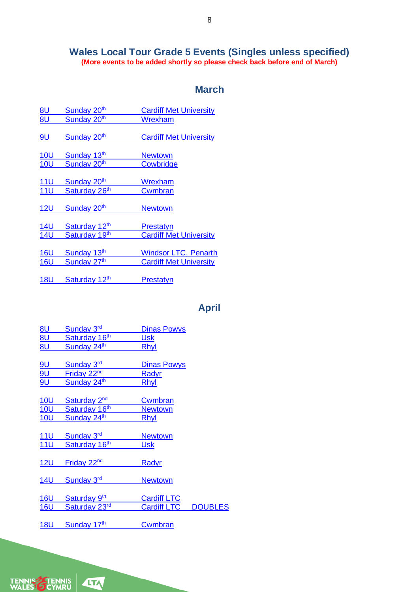#### **Wales Local Tour Grade 5 Events (Singles unless specified) (More events to be added shortly so please check back before end of March)**

## **March**

| <u>8U</u>  | Sunday 20 <sup>th</sup>   | <b>Cardiff Met University</b> |
|------------|---------------------------|-------------------------------|
| 8U         | Sunday 20 <sup>th</sup>   | Wrexham                       |
|            |                           |                               |
| 9U         | Sunday 20 <sup>th</sup>   | <b>Cardiff Met University</b> |
|            |                           |                               |
| <b>10U</b> | Sunday 13th               | <b>Newtown</b>                |
| <b>10U</b> | Sunday 20 <sup>th</sup>   | Cowbridge                     |
|            |                           |                               |
| <u>11U</u> | Sunday 20 <sup>th</sup>   | Wrexham                       |
| <b>11U</b> | Saturday 26 <sup>th</sup> | <b>Cwmbran</b>                |
|            |                           |                               |
| <b>12U</b> | Sunday 20 <sup>th</sup>   | <b>Newtown</b>                |
|            |                           |                               |
| <b>14U</b> | Saturday 12th             | Prestatyn                     |
| <b>14U</b> | Saturday 19th             | <b>Cardiff Met University</b> |
|            |                           |                               |
| <b>16U</b> | Sunday 13th               | <b>Windsor LTC, Penarth</b>   |
| <b>16U</b> | Sunday 27th               | <b>Cardiff Met University</b> |
|            |                           |                               |
| <b>18U</b> | Saturday 12th             | <b>Prestatyn</b>              |
|            |                           |                               |

# **April**

| <u>8U</u>  | Sunday 3rd               | <b>Dinas Powys</b> |                |
|------------|--------------------------|--------------------|----------------|
| <u>8U</u>  | Saturday 16th            | <u>Usk</u>         |                |
| <b>8U</b>  | Sunday 24th              | <u>Rhyl</u>        |                |
| <u>9U</u>  | Sunday 3rd               | Dinas Powys        |                |
| <u>9U</u>  | Friday 22 <sup>nd</sup>  | <u>Radyr</u>       |                |
| <u>9U</u>  | Sunday 24th              | Rhyl               |                |
| <b>10U</b> | Saturday 2 <sup>nd</sup> | <u>Cwmbran</u>     |                |
| <u>10U</u> | Saturday 16th            | <b>Newtown</b>     |                |
| <b>10U</b> | Sunday 24th              | Rhyl               |                |
| <u>11U</u> | Sunday 3rd               | <b>Newtown</b>     |                |
| <b>11U</b> | Saturday 16th            | Usk                |                |
| 12U        | Friday 22 <sup>nd</sup>  | <u>Radyr</u>       |                |
| <b>14U</b> | Sunday 3rd               | <b>Newtown</b>     |                |
| <b>16U</b> | Saturday 9th             | <b>Cardiff LTC</b> |                |
| <b>16U</b> | Saturday 23rd            | <b>Cardiff LTC</b> | <b>DOUBLES</b> |
| <u>18U</u> | Sunday 17th              | <b>Cwmbran</b>     |                |

TENNIS TENNIS<br>WALES CYMRU

**ATA** 

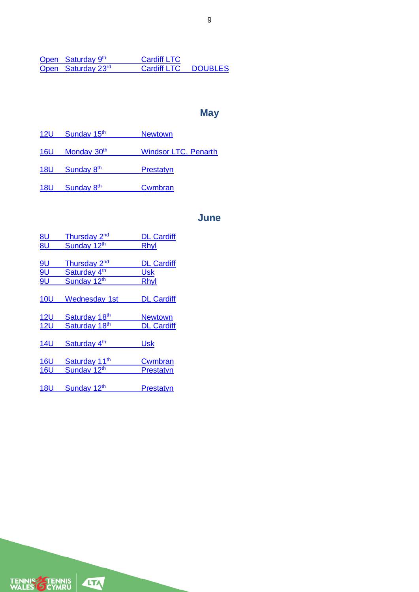**Open** Saturday 9 [Cardiff LTC](https://competitions.lta.org.uk/tournament/a33ea4a5-08b8-49af-a8c1-222081d90b97)<br>Cardiff LTC Open Saturday 23<sup>rd</sup> [Cardiff LTC DOUBLES](https://competitions.lta.org.uk/tournament/77b98184-0540-4fcd-82f2-7364737bae58)

## **May**

12U [Sunday 15](https://competitions.lta.org.uk/tournament/19741177-930e-41c3-88b4-ba492653bb73)<sup>th</sup> Newtown 16U Monday 30<sup>th</sup> [Windsor LTC, Penarth](https://competitions.lta.org.uk/tournament/e6773791-4cfa-4a40-97d0-90b8c3d30e19) 18U Sunday 8<sup>th</sup> [Prestatyn](https://competitions.lta.org.uk/tournament/c00db4b1-c29d-4654-b62e-07b6b4d1fe80) 18U Sunday 8<sup>th</sup> [Cwmbran](https://competitions.lta.org.uk/tournament/a33ea4a5-08b8-49af-a8c1-222081d90b97)

### **June**

| <u>8U</u>  | Thursday 2 <sup>nd</sup>  | <b>DL Cardiff</b> |
|------------|---------------------------|-------------------|
| 8U         | Sunday 12th               | Rhyl              |
|            |                           |                   |
| <u>gu</u>  | Thursday 2 <sup>nd</sup>  | <b>DL Cardiff</b> |
| 9U         | Saturday 4 <sup>th</sup>  | Usk               |
| <b>9U</b>  | Sunday 12th               | Rhyl              |
|            |                           |                   |
| <b>10U</b> | <b>Wednesday 1st</b>      | <b>DL Cardiff</b> |
|            |                           |                   |
| 12U        | Saturday 18th             | <b>Newtown</b>    |
| <b>12U</b> | Saturday 18th             | <b>DL Cardiff</b> |
|            |                           |                   |
| <b>14U</b> | Saturday 4 <sup>th</sup>  | <b>Usk</b>        |
|            |                           |                   |
| <b>16U</b> | Saturday 11 <sup>th</sup> | Cwmbran           |
| <b>16U</b> | Sunday 12 <sup>th</sup>   | Prestatyn         |
|            |                           |                   |
| <b>18U</b> | Sunday 12 <sup>th</sup>   | Prestatvn         |

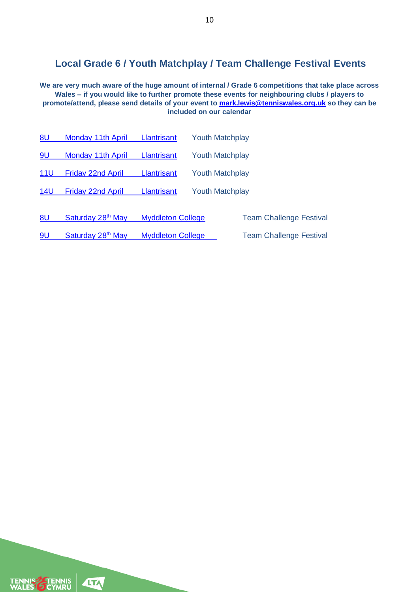# **Local Grade 6 / Youth Matchplay / Team Challenge Festival Events**

**We are very much aware of the huge amount of internal / Grade 6 competitions that take place across Wales – if you would like to further promote these events for neighbouring clubs / players to promote/attend, please send details of your event to [mark.lewis@tenniswales.org.uk](mailto:mark.lewis@tenniswales.org.uk) so they can be included on our calendar**

| 8U              | Monday 11th April             | Llantrisant              | <b>Youth Matchplay</b> |                                |
|-----------------|-------------------------------|--------------------------|------------------------|--------------------------------|
| 9U              | Monday 11th April             | Llantrisant              | <b>Youth Matchplay</b> |                                |
| 11 <sup>U</sup> | <b>Friday 22nd April</b>      | <b>Llantrisant</b>       | <b>Youth Matchplay</b> |                                |
| <b>14U</b>      | <b>Friday 22nd April</b>      | <b>Llantrisant</b>       | <b>Youth Matchplay</b> |                                |
| 8U              | Saturday 28 <sup>th</sup> May | <b>Myddleton College</b> |                        | <b>Team Challenge Festival</b> |

9U Saturday 28<sup>th</sup> May [Myddleton College](https://competitions.lta.org.uk/tournament/51daddd5-142e-4c03-b872-471366e56783) Team Challenge Festival